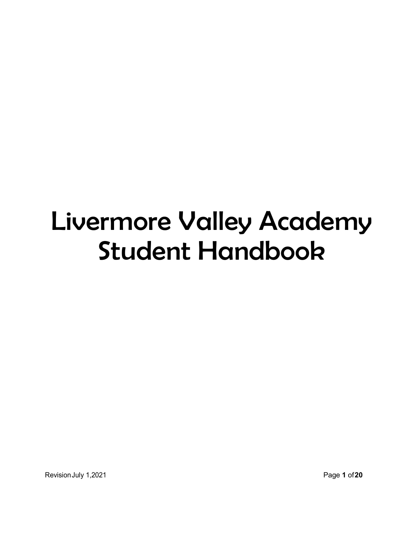# Livermore Valley Academy Student Handbook

Revision July 1,2021 **Page 1 of 20**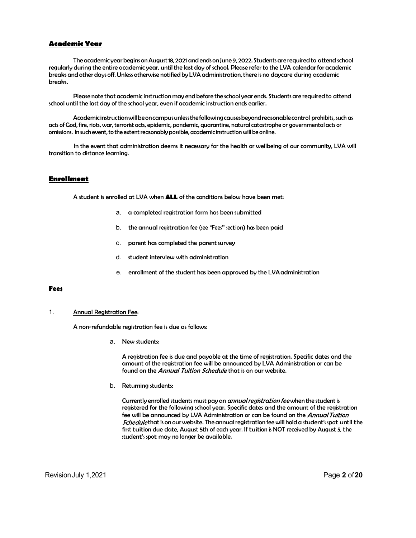# Academic Year

**nic Year**<br>The academic year begins on August 18, 2021 and ends on June 9, 2022. Students are required to attend school<br>during the entire academic year, until the last day of school. Please refer to the LVA calendar for ac regularly during the entire academic year, until the last day of school. Please refer to the LVA calendar for academic breaks and other days off. Unless otherwise notified by LVA administration, there is no daycare during academic breaks. **nic Year**<br>The academic year begins on August 18, 2021 and ends on June 9, 2022. Students are required to attend school<br>during the entire academic year, until the last day of school. Please refer to the LVA calendar for ac **The academic year begins on August 18, 2021 and ends on June 9, 2022. Students are required to attend school<br>during the entire academic year, until the last day of school. Please refer to the LVA calendar for academic<br>dot** 

school until the last day of the school year, even if academic instruction ends earlier.

acts of God, fire, riots, war, terrorist acts, epidemic, pandemic, quarantine, natural catastrophe or governmental acts or omissions. In such event, to the extent reasonably possible, academic instruction will be online.

 In the event that administration deems it necessary for the health or wellbeing of our community, LVA will transition to distance learning.

# Enrollment

A student is enrolled at LVA when **ALL** of the conditions below have been met:

- a. a completed registration form has been submitted
- b. the annual registration fee(see "Fees" section) has been paid
- c. parent has completed the parent survey
- d. student interview with administration
- e. enrollment of the student has been approved by the LVA administration

# Fees

#### 1. Annual Registration Fee:

A non-refundable registration fee is due as follows:

a. New students:

A registration fee is due and payable at the time of registration. Specific dates and the amount of the registration fee will be announced by LVA Administration or can be found on the Annual Tuition Schedule that is on our website.

b. Returning students:

Currently enrolled students must pay an *annual registration fee* when the student is registered for the following school year. Specific dates and the amount of the registration fee will be announced by LVA Administration or can be found on the Annual Tuition interview with administration<br>interview with administration<br>ent of the student has been approved by the LVA administration<br>ents:<br>tion fee is due and payable at the time of registration. Specific dates and the<br>the *Amual Tu* student interview with administration<br>
enrollment of the student has been approved by the LVA administration<br>
In Fee:<br>
registration fee is due as follows:<br>
New students:<br>
A registration fee is due and payable at the time o student interview with cummisdiator<br>
enrollment of the student has been approved by the LVA administration<br>
New students:<br>
New students:<br>
New students:<br>
New students:<br>
New students:<br>
New students:<br>
For the registration fee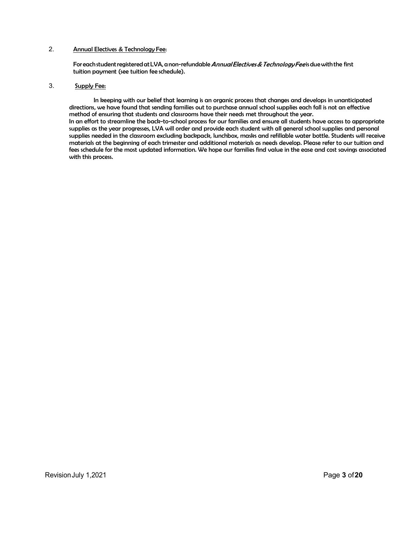2.<br>Annual Electives & Technology Fee:<br>For eachstudent registered at LVA, a non-refundable *Annual Electives & Technology Fee* is due with the first<br>tuition payment (see tuition fee schedule).<br>3. Supply Fee: For each student registered at LVA, a non-refundable Annual Electives & Technology Feeis due with the first tuition payment (see tuition fee schedule).

# 3. Supply Fee:

 In keeping with our belief that learning is an organic process that changes and develops in unanticipated directions, we have found that sending families out to purchase annual school supplies each fall is not an effective method of ensuring that students and classrooms have their needs met throughout the year. In an effort to streamline the back-to-school process for our families and ensure all students have access to appropriate supplies as the year progresses, LVA will order and provide each student with all general school supplies and personal supplies needed in the classroom excluding backpack, lunchbox, masks and refillable water bottle. Students will receive materials at the beginning of each trimester and additional materials as needs develop. Please refer to our tuition and fees schedule for the most updated information. We hope our families find value in the ease and cost savings associated with this process.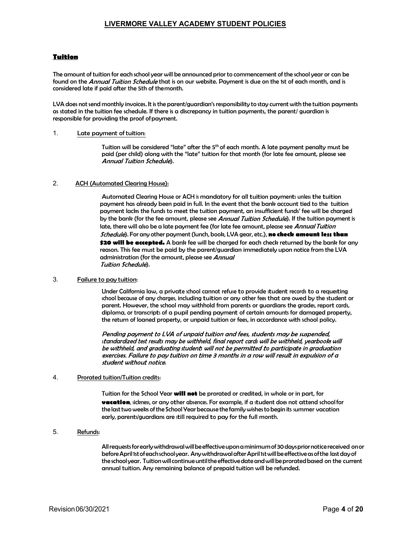# Tuition

The amount of tuition for each school year will be announced prior to commencement of the school year or can be found on the Annual Tuition Schedule that is on our website. Payment is due on the 1st of each month, and is considered late if paid after the 5th of the month.

LVA does not send monthly invoices. It is the parent/guardian's responsibility to stay current with the tuition payments as stated in the tuition fee schedule. If there is a discrepancy in tuition payments, the parent/ guardian is responsible for providing the proof of payment.

#### 1. Late payment of tuition:

Tuition will be considered "late" after the 5<sup>th</sup> of each month. A late payment penalty must be paid (per child) along with the "late" tuition for that month (for late fee amount, please see ).

#### 2. ACH (Automated Clearing House):

**LIVERMORE VALLEY ACADEMY STUDENT POLICIES**<br>
ion for each school year will be announced prior to commencement of the school year or can be<br>
ion for a control of the more transformation of the tuition payments<br>
in tuition payment has already been paid in full. In the event that the bank account tied to the tuition payment lacks the funds to meet the tuition payment, an insufficient funds' fee will be charged by the bank (for the fee amount, please see Annual Tuition Schedule). If the tuition payment is late, there will also be a late payment fee (for late fee amount, please see Annual Tuition *Schedule*). For any other payment (lunch, book, LVA gear, etc.), **no check amount less than** \$20 will be accepted. A bank fee will be charged for each check returned by the bank for any reason. This fee must be paid by the parent/guardian immediately upon notice from the LVA administration (for the amount, please see Annual ). school decline that the control of the student including the student or the student or the form of a proported the charge of a proported to the final of any other that month (for late fee amount, please see<br>Bottle (betwird

#### 3. Failure to pay tuition:

Under California law, a private school cannot refuse to provide student records to a requesting parent. However, the school may withhold from parents or guardians the grades, report cards, diploma, or transcripts of a pupil pending payment of certain amounts for damaged property, the return of loaned property, or unpaid tuition or fees, in accordance with school policy.

be withheld, and graduating students will not be permitted to participate in graduation exercises. Failure to pay tuition on time 3 months in a row will result in expulsion of a student without notice.

# 4. Prorated tuition/Tuition credits:

Tuition for the School Year **will not** be prorated or credited, in whole or in part, for vacation, sickness, or any other absences. For example, if a student does not attend school for the last two weeks of the School Year because the family wishes to begin its summer vacation early, parents/guardians are still required to pay for the full month.

# 5. Refunds:

All requests for early withdrawal will be effective upon a minimum of 30 days prior notice received on or before April 1st of each school year. Any withdrawal after April 1st will be effective as of the last day of the school year. Tuition will continue until the effective date and will be prorated based on the current annual tuition. Any remaining balance of prepaid tuition will be refunded.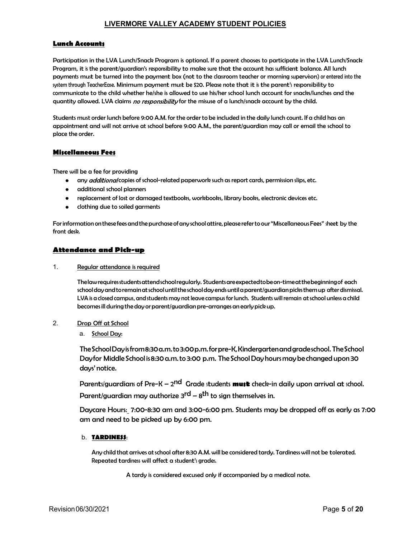# Lunch Accounts

Participation in the LVA Lunch/Snack Program is optional. If a parent chooses to participate in the LVA Lunch/Snack Program, it is the parent/guardian's responsibility to make sure that the account has sufficient balance. All lunch payments must be turned into the payment box (not to the classroom teacher or morning supervisors) or entered into the system through TeacherEase. Minimum payment must be \$20. Please note that it isthe parent's responsibility to communicate to the child whether he/she is allowed to use his/her school lunch account for snacks/lunches and the quantity allowed. LVA claims no responsibility for the misuse of a lunch/snack account by the child. **LIVERMORE VALLEY ACADEMY STUDENT POLICIES**<br>**Lunch Accounts**<br>Participation in the LVA Lunch/Snack Program is optional. If a parent chooses to participate in the LVA Lunch/Snack<br>Program, it is the parent/guardian's responsi

appointment and will not arrive at school before 9:00 A.M., the parent/guardian may call or email the school to place the order.

# Miscellaneous Fees

There will be a fee for providing

- any *additional* copies of school-related paperwork such as report cards, permission slips, etc.  $\bullet$
- additional school planners  $\bullet$
- replacement of lost or damaged textbooks, workbooks, library books, electronic devices etc.  $\bullet$
- clothing due to soiled garments

For information on these fees and the purchase of any school attire, please refer to our "Miscellaneous Fees" sheet by the front desk.

# Attendance and Pick-up

1. Regular attendance is required

The law requires students attend school regularly. Students are expected to be on-time at the beginning of each school day and to remain at school until the school day ends until a parent/guardian picks them up after dismissal. LVA is a closed campus, and students may not leave campus for lunch. Students will remain at school unless a child becomes ill during the day or parent/guardian pre-arranges an early pick up. **Example 2018**<br>
be a fee for providing<br>
be a fee for providing<br>
and *didional* copies of school-related paperwork such as report cards, permission slips, etc.<br>
additional school planners<br>
eplacement of lost or damaged text

- 2. Drop Off at School
	-

The School Day is from 8:30 a.m. to 3:00 p.m. for pre-K, Kindergarten and grade school. The School Day for Middle School is 8:30 a.m. to 3:00 p.m. The School Day hours may be changed upon 30 days' notice.

Parents/guardians of Pre-K – 2<sup>nd</sup> Grade students **must** check-in daily upon arrival at school.

Parent/guardian may authorize  $3^{rd}$  –  $8^{th}$  to sign themselves in.

Daycare Hours: 7:00-8:30 am and 3:00-6:00 pm. Students may be dropped off as early as 7:00 am and need to be picked up by 6:00 pm.

b. TARDINE\$\$:<br>Any child that arrives at school after 8:30 A.M. will be considered tardy. Tardiness will not be tolerated. Repeated tardiness will affect a student's grades.

A tardy is considered excused only if accompanied by a medical note.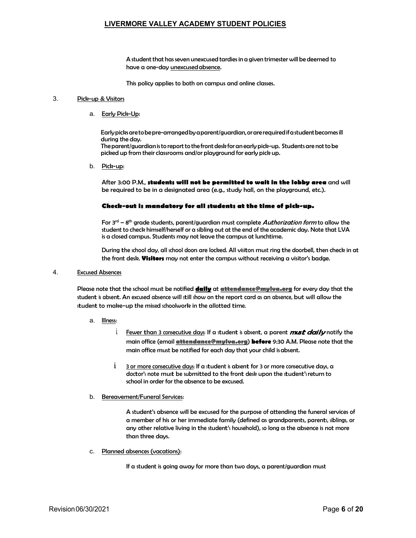A student that has seven unexcused tardies in a given trimester will be deemed to have a one-day unexcused absence.

This policy applies to both on campus and online classes.

#### 3. Pick-up & Visitors

a. Early Pick-Up:

Early picks are to be pre-arranged by a parent/guardian, or are required if a student becomes ill during the day. The parent/guardian is to report to the front desk for an early pick-up. Students are not to be picked up from their classrooms and/or playground for early pick up. This policy applies to both on campus and online classe.<br>
<u>& Visitors</u><br>
<u>Early Pick-Un</u>:<br>
Early pick-unce<br>
Early pick-unce bosone-arranged by a parent/guardian, or are required if a students are not to be<br>
fultime the doy

b. Pick-up:

After 3:00 P.M., students will not be permitted to wait in the lobby area and will be required to be in a designated area (e.g., study hall, on the playground, etc.).

# Check-out is mandatory for all students at the time of pick-up.

For  $3<sup>rd</sup> - 8<sup>th</sup>$  grade students, parent/guardian must complete Authorization form to allow the student to check himself/herself or a sibling out at the end of the academic day. Note that LVA is a closed campus. Students may not leave the campus at lunchtime.

the front desk. Visitors may not enter the campus without receiving a visitor's badge.

4. Excused Absences

Please note that the school must be notified daily at attendance@mylva.org for every day that the student is absent. An excused absence will still show on the report card as an absence, but will allow the Earlypicks are to be pre-arranged by a parent/guardian, or are required if a student becometaring the day.<br>
The parent/guardian is to report to the front desk for an early pick-up. Students are not to picked up from their

- 
- Fewer than 3 consecutive days: If a student is absent, a parent  $\boldsymbol{m}$ st daily notify the o D.M., **students will not be permitted to wait in the lobby area** and will<br>ed to be in a designated area (e.g., study hall, on the ployground, etc.).<br>**out is mandetory for all students at the time of pick-ups.**<br><sup>gap</sup> and main office must be notified for each day that your child is absent. inguired to be in a designated area (e.g., study hall, on the playground, etc.).<br> **ck-out is mandetory for all students at the time of pick-up.**<br>  $\mathbf{r}^d - \mathbf{r}^0$  area students, parent/guardian must complete *Authorizat* **Solution is the submitted of the students at the time of pick-up-**<br>S<sup>h</sup> grade students, parent/guardian must complete *Authorization form* to allow the<br>o check himself/henelf or a sibiling out at the end of the academic d
	- school in order for the absence to be excused.
- b. Bereavement/Funeral Services:

A student's absence will be excused for the purpose of attending the funeral services of a member of his or her immediate family (defined as grandparents, parents, siblings, or any other relative living in the student's household), so long as the absence is not more than three days.

c. Planned absences (vacations):

If a student is going away for more than two days, a parent/guardian must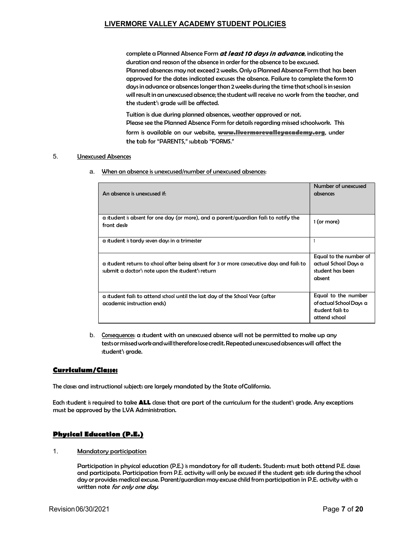MORE VALLEY ACADEMY STUDENT POLICIES<br>complete a Planned Absence Form *at least 10 days in advance,* indicating the<br>duration and reason of the absence in order for the absence to be excused.<br>Planned absences may not exceed duration and reason of the absence in order for the absence to be excused. Planned absences may not exceed 2 weeks. Only a Planned Absence Form that has been approved for the dates indicated excuses the absence. Failure to complete the form 10 days in advance or absences longer than 2 weeks during the time that school is in session will result in an unexcused absence; the student will receive no work from the teacher, and the student's grade will be affected. MORE VALLEY ACADEMY STUDENT POLICIES<br>complete a Planned Absence Form *at least 10 days in advance*, indicating the<br>duration and reason of the absence in order for the absence to be excused.<br>Planned absences may not exceed LIVERMORE VALLEY ACADEMY STUDENT POLICIES<br>
complete a Planned Absence Form at least to days in advance, indicating<br>
duration and reason of the absence in order for the absence to be excused.<br>
Planned absences may not excee **LIVERMORE VALLEY ACADEMY STUDENT POLICIES**<br>
complete a Planned Absence Form *at least 10 days in advance*, indicating the<br>
duration and reason of the observe in order for the absence to be excused.<br>
Planned absences: may

Tuition is due during planned absences, weather approved or not. form is available on our website, www.livermorevalleyacademy.org, under the tab for "PARENTS," subtab "FORMS."

|             |                                                                                                                                                                                                                                                                                                                                                                                                | Number of unexcused                                                                 |
|-------------|------------------------------------------------------------------------------------------------------------------------------------------------------------------------------------------------------------------------------------------------------------------------------------------------------------------------------------------------------------------------------------------------|-------------------------------------------------------------------------------------|
|             | An absence is unexcused if:                                                                                                                                                                                                                                                                                                                                                                    | absences                                                                            |
|             | a student is absent for one day (or more), and a parent/guardian fails to notify the<br>front desk                                                                                                                                                                                                                                                                                             | 1 (or more)                                                                         |
|             | a student is tardy seven days in a trimester                                                                                                                                                                                                                                                                                                                                                   | 1                                                                                   |
|             | a student returns to school after being absent for 3 or more consecutive days and fails to<br>submit a doctor's note upon the student's return                                                                                                                                                                                                                                                 | Equal to the number of<br>actual School Days a<br>student has been<br>absent        |
|             | a student fails to attend school until the last day of the School Year (after<br>academic instruction ends)                                                                                                                                                                                                                                                                                    | Equal to the number<br>of actual School Days a<br>student fails to<br>attend school |
| b.          | Consequences: a student with an unexcused absence will not be permitted to make up any<br>tests or missed work and will therefore lose credit. Repeated unexcused absences will affect the<br>student's grade.                                                                                                                                                                                 |                                                                                     |
| lum/Classes |                                                                                                                                                                                                                                                                                                                                                                                                |                                                                                     |
|             | and instructional subjects are largely mandated by the State of California.                                                                                                                                                                                                                                                                                                                    |                                                                                     |
|             | ent is required to take ALL classes that are part of the curriculum for the student's grade. Any exceptions<br>approved by the LVA Administration.                                                                                                                                                                                                                                             |                                                                                     |
|             | al Education (P.E.)                                                                                                                                                                                                                                                                                                                                                                            |                                                                                     |
|             | Mandatory participation                                                                                                                                                                                                                                                                                                                                                                        |                                                                                     |
|             | Participation in physical education (P.E.) is mandatory for all students. Students must both attend P.E. classes<br>and participate. Participation from P.E. activity will only be excused if the student gets sick during the school<br>day or provides medical excuse. Parent/guardian may excuse child from participation in P.E. activity with a<br>written note <i>for only one day</i> . |                                                                                     |
| 06/30/2021  |                                                                                                                                                                                                                                                                                                                                                                                                | Page 7 of 20                                                                        |
|             |                                                                                                                                                                                                                                                                                                                                                                                                |                                                                                     |

# Curriculum/Classes

The classes and instructional subjects are largely mandated by the State of California.

Each student is required to take ALL classes that are part of the curriculum for the student's grade. Any exceptions must be approved by the LVA Administration.

# Physical Education (P.E.)

1. Mandatory participation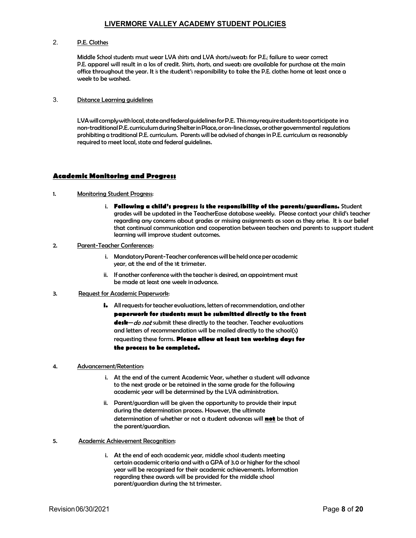**LIVERMORE VALLEY ACADEMY STUDENT POLICIES**<br>2. **P.E. Clothes**<br>Middle School students must wear LVA shirts and LVA shorts/sweats for P.E.; failure to wear of<br>P.E. apparel will result in a loss of credit. Shirts, shorts, and Middle School students must wear LVA shirts and LVA shorts/sweats for P.E.; failure to wear correct P.E. apparel will result in a loss of credit. Shirts, shorts, and sweats are available for purchase at the main office throughout the year. It is the student's responsibility to take the P.E. clothes home at least once a week to be washed.

3. Distance Learning guidelines

LIVERMORE VALLEY ACADEMY STUDENT POLICIES<br>
P.E. Clothes<br>
Middle School students must wear LVA shirts and LVA shorts/weats for P.E. failure to wear correct<br>
P.E. capparel will result in a los of credit. Shirts, shorts, and non-traditional P.E. curriculum during Shelter in Place, or on-line classes, or other governmental regulations **LIVERMORE VALLEY ACADEMY STUDENT POLICIES**<br>
P.E. Clothes<br>
Middle School students must wear LVA shirts and LVA shorts/weats for P.E.; failure to wear correct<br>
P.E. capparel will result in a los of readit. Shirts, shorts, a required to meet local, state and federal guidelines.

# Academic Monitoring and Progress

- **ELIVERMORE VALLEY ACADEMY STUDENT POLICIES**<br>
2. **P.E.** Clothes<br>
2. **Middle School students must wear LVA** shirts and LVA shorts/sweats for P.E. failure to we<br>
P.E. opporte will result in a los of credit. Shirts, shorts, a i. Following a child's progress is the responsibility of the parents/guardians. Student grades will be updated in the TeacherEase database weekly. Please contact your child's teacher regarding any concerns about grades or missing assignments as soon as they arise. It is our belief that continual communication and cooperation between teachers and parents to support student learning will improve student outcomes. office throughout the year. It is the student's responsibility to take the P.E. dothe hone<br>week to be washed.<br>
2. <u>Distance Learning guidelines</u><br>
1. UA will comply with local, state and federal guidelines for P.E. This may **Example 12**<br>
in my and the state and federal guidelines for P.E. This may require students to pontific incomplement of the conference of the conferences of orther governmental regulations<br>
or traditional P.E. curriculum, ming <u>quidelines</u><br>whith local, state and federal guidelines for P.E. This may require student to participate in an<br>IP.E. curriculum during Shelterin Place, or on-line dasse, or obre governmental regulations<br>calibral P.E. c **Example purice interpretionally and Progress**<br> **Example the teacher conference with the teacher of the teacher of the teacher of the teacher of the teacher<br>
or one tel cocil, state and federal guidelines.<br>
In a reacher of** LVA will comply with local, state and federal guidelines for P.E. This may require student<br>non-traditional P.E. curriculum (PShelter in Place, or on-line classes, or other govern<br>probibiting a traditional P.E. curriculum,
- -
	- be made at least one week in advance.
- 
- i. All requests for teacher evaluations, letters of recommendation, and other paperwork for students must be submitted directly to the front **desk**—*do not* submit these directly to the teacher. Teacher evaluations and letters of recommendation will be mailed directly to the school(s) requesting these forms. Please allow at least ten working days for the process to be completed. Monitoring Student Progress:<br>
i. **Following a child's progress is the responsibility of the percentive set compare will be updated in the TeacherEase database weekly. Please experiment is greated in the process tegeration i. Fellowing a child's progress is the responsibility of the parents/guardians.** Student gradient in the leader factor effects decorations weakly. Please context your child's teach end or gradient in the content of the that continual communication and cooperation between teachers and parents to support<br>
learning will improve student outcomes.<br>
i. Mandatory Parent-Teacher conferences will be held once per academic<br>
vear, at the end of the beam of the sixterimeters with the teacher is desired, an appointment must<br>
i. If monther conference with the teacher is desired, an appointment must<br> **Bequest for Academic Papenvork:**<br> **i.** All requests for teacher evolu

- to the next grade or be retained in the same grade for the following academic year will be determined by the LVA administration.
- during the determination process. However, the ultimate determination of whether or not a student advances will not be that of the parent/guardian.
- - i. At the end of each academic year, middle school students meeting certain academic criteria and with a GPA of 3.0 or higher for the school year will be recognized for their academic achievements. Information regarding these awards will be provided for the middle school parent/guardian during the 1st trimester.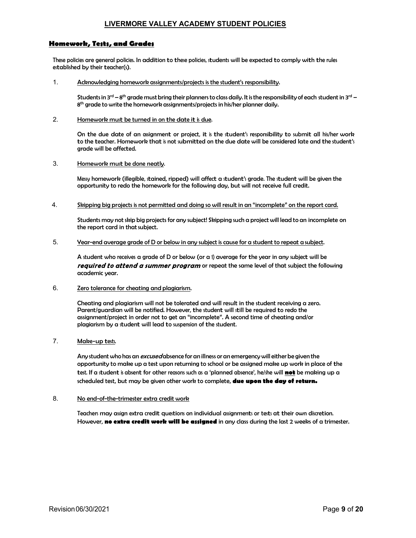# Homework, Tests, and Grades

These policies are general policies. In addition to these policies, students will be expected to comply with the rules established by their teacher(s).

1. Acknowledging homework assignments/projects is the student's responsibility.

**LIVERMORE VALLEY ACADEMY STUDENT POLICIES**<br>
Students in **and Grades**<br>
Students in 3<sup>rd</sup> – 8<sup>th</sup> grade must bring their planners to class daily. It is the responsibility.<br>
Acknowledging homework assignments/projects is the 8<sup>th</sup> grade to write the homework assignments/projects in his/her planner daily.

2. Homework must be turned in on the date it is due.

**LIVERMORE VALLEY ACADEMY STUDENT POLICIES**<br> **reformation Grade:**<br>
so are general policies. In addition to thee policies, students will be expected to comply with the rules<br>
by their teacher(s).<br>
Intervalor (see policies **LIVERMORE VALLEY ACADEMY STUDENT POLICIES**<br>
Dies are general policies, in addition to thee policies, students will be expected to comply with the rules<br>
dies are general policies, in addition to thee policies, students wi **LIVERMORE VALLEY ACADEMY STUDENT POLICIES**<br>
Dies are general policies. In addition to these policies, students will be expected to comply with the rules<br>
do by their teacher(s).<br>
Acknowledging homework assignments/project to the teacher. Homework that is not submitted on the due date will be considered late and the student's grade will be affected.

3. Homework must be done neatly.

Messy homework (illegible, stained, ripped) will affect a student's grade. The student will be given the opportunity to redo the homework for the following day, but will not receive full credit.

4. Skipping big projects is not permitted and doing so will result in an "incomplete" on the report card.

Students may not skip big projects for any subject! Skipping such a project will lead to an incomplete on the report card in that subject.

5. Year-end average grade of D or below in any subject is cause for a student to repeat a subject.

Acknowledging homework assignments/projects is the student's responsibility.<br>Students in 3<sup>rd</sup> – 8<sup>th</sup> grade must bring their planners to class daily. It is the responsibility of each student in 3<sup>rd</sup> – 8<sup>h</sup> grade to write required to attend a summer program or repeat the same level of that subject the following academic year.

6. Zero tolerance for cheating and plagiarism.

Cheating and plagiarism will not be tolerated and will result in the student receiving a zero. Parent/guardian will be notified. However, the student will still be required to redo the assignment/project in order not to get an "incomplete". A second time of cheating and/or plagiarism by a student will lead to suspension of the student.

7. Make-up tests.

Any student who has an *excused* absence for an illness or an emergency will either be given the opportunity to make up a test upon returning to school or be assigned make up work in place of the test. If a student is absent for other reasons such as a 'planned absence', he/she will not be making up a scheduled test, but may be given other work to complete, due upon the day of return.

8. No end-of-the-trimester extra credit work

Teachers may asign extra credit questions on individual assignments or tests at their own discretion.<br>However, **no extra credit work will be assigned** in any class during the last 2 weeks of a trimester.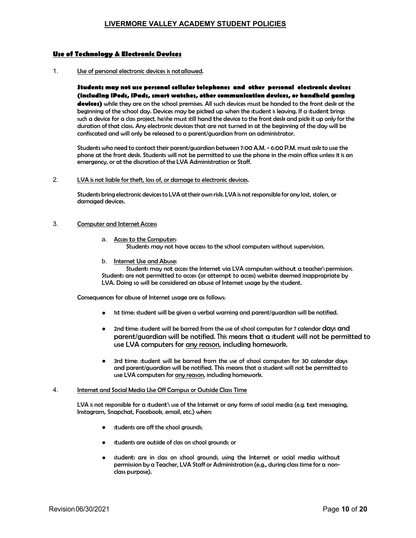# Use of Technology & Electronic Devices

### 1. Use of personal electronic devices is notallowed.

Students may not use personal cellular telephones and other personal electronic devices (including iPods, iPads, smart watches, other communication devices, or handheld gaming devices) while they are on the school premises. All such devices must be handed to the front desk at the **LIVERMORE VALLEY ACADEMY STUDENT POLICIES**<br> **Exchange of personal electronic devices is notallowed.**<br> **Budents may not use personal cellular telephones and other personal electronic devices<br>
<b>(including iPod, iPeds, imart LIVERMORE VALLEY ACADEMY STUDENT POLICIES**<br> **Cechnology & Electronic Devices**<br>
Use of personal electronic devices is notallowed.<br> **Students may not use personal cellular telephones and other personal electronic devices<br>
<b>** duration of that class. Any electronic devices that are not turned in at the beginning of the day will be confiscated and will only be released to a parent/guardian from an administrator. **LIVERMORE VALLEY ACADEMY STUDENT POLICIES**<br> **Use of Technology & Electronic devices is not dilowed.**<br> **1.**<br>
Use of personal electronic devices is not dilowed.<br> **1.**<br> **1.** Use of personal electronic devices is not dilowed **Example lectronic devices is notollowed.**<br> **Access to the Personal cellular telephones and other personal electronic devices any BPods, iPads, smart watches, other communication devices, or handheld gaming while they ore** 

Students who need to contact their parent/guardian between 7:00 A.M. - 6:00 P.M. must ask to use the phone at the front desk. Students will not be permitted to use the phone in the main office unless it is an emergency, or at the discretion of the LVA Administration or Staff.

Students bring electronic devices to LVA at their own risk. LVA is not responsible for any lost, stolen, or damaged devices.

#### 3. Computer and Internet Access

- 
- b. Internet Use and Abuse:

Students may not access the Internet via LVA computers without a teacher's permission. Students are not permitted to access (or attempt to access) websites deemed inappropriate by LVA. Doing so will be considered an abuse of Internet usage by the student.

Consequences for abuse of Internet usage are as follows:

- 1st time: student will be given a verbal warning and parent/guardian will be notified.  $\bullet$
- **Example 12rd time: student will be barred from the use of school computers without students of school computers for the computers without student wire student wire student will be decay to the computers without students i** students are of the school grounds;<br>the school grounds; the school grounds; the school grounds; the school grounds;<br>the school group of the school grounds; (or a school grounds; Danis Danis Danis Continues are of the schoo Student may are ceres the Internet via UAA computer without a teacher's permission.<br>The structure provident content via UAA computer to compute the structure of class of class of class of the stretch to compute the school 2nd time: student will be barred from the use of school computers for 7 calendar days and  $\bullet$ parent/guardian will be notified. This means that a student will not be permitted to use LVA computers for any reason, including homework.
- and parent/guardian will be notified. This means that a student will not be permitted to use LVA computers for any reason, including homework.

# 4. Internet and Social Media Use Off Campus or Outside Class Time

LVA is not responsible for a student's use of the Internet or any forms of social media (e.g. text messaging, Instagram, Snapchat, Facebook, email, etc.) when:

- $\bullet$
- $\bullet$
- students are in class on school grounds, using the Internet or social media without  $\bullet$ permission by a Teacher, LVA Staff or Administration (e.g., during class time for a nonclass purpose).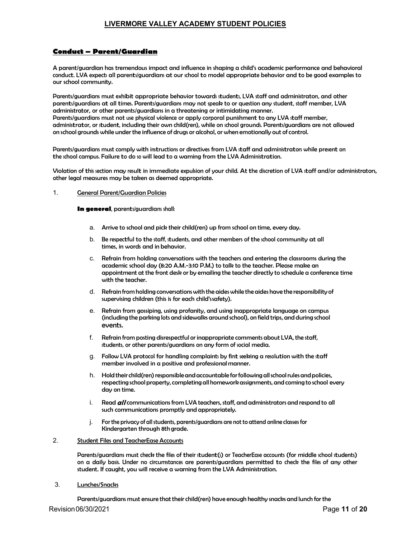LIVERMORE VALLEY ACADEMY STUDENT POLICIES<br> **Conduct – Parent/Guardian**<br>
A parent/guardian has tremendous impact and influence in shaping a child's academic performane<br>
conduct. LVA expects all parents/guardians at our scho A parent/guardian has tremendous impact and influence in shaping a child's academic performance and behavioral our school community.

Conduct — Parent/Guardian<br>
A parent/guardian and the parents/Guardian<br>
A parent/guardian has temendous impact and influence in shaping a child's academic performance and behavioral<br>
conduct. LVA expects all parents/guardia **Conduct — Parent!/Guardian**<br> **Conduct — Parent!/Guardian**<br>
A parent!/guardian has tremendous impact and influence in shaping a child's academic performance and behavioral<br>
conduct. LVA expects all parents/guardians at our Parents/guardians must exhibit appropriate behavior towards students, LVA staff and administrators, and other<br>parents/guardians at all times. Parents/guardians may not speak to or question any student, staff member, LVA administrator, or other parents/guardians in a threatening or intimidating manner. **Conduct – Parent/Guardian**<br> **Conduct – Parent/Guardian**<br>
A parent/guardian has tremendous impact and influence in shaping a child's academic performance and behavioral<br>
conduct. LVA expects all parents/guardians at our sc **LIVERMORE VALLEY ACADEMY STUDENT POLICIES**<br> **4** parent/guardian has tremendous impact and influence in shaping a child's academic performance and behavioral<br>
4 parent/guardian has tremendous impact and influence in shapin on school grounds while under the influence of drugs or alcohol, or when emotionally out of control. LIVERMORE VALLEY ACADEMY STUDENT POLICIES<br> **Conduct — Parent/Guardian**<br>
A parent/guardian has trenendous impact and influence in shaping a child's academic performance and behavior<br>
ordwict. UVA expect all praenti/guardian rdian has tremendous impact and influence in shaping a child's academic performance and behavioral<br>expecte different your staff and control to model appropriate behavior and to be good examples to<br>item munity.<br>Horn must ex

Parents/guardians must comply with instructions or directives from LVA staff and administrators while present on

Violation of this section may result in immediate expulsion of your child. At the discretion of LVA staff and/or administrators, other legal measures may be taken as deemed appropriate.

#### 1. General Parent/Guardian Policies

In general, parents/guardians shall:

- a. Arrive to school and pick their child(ren) up from school on time, every day.
- times, in words and in behavior.
- c. Refrain from holding conversations with the teachers and entering the classrooms during the academic school day (8:20 A.M.-3:10 P.M.) to talk to the teacher. Please make an appointment at the front desk or by emailing the teacher directly to schedule a conference time with the teacher. fis etion more yout in immediate expulsion and while a disretion of LVA staff and/or administrators,<br>real Derent/Guardian Policies<br>rearch from policies comments about the disretion of LVA staff and/or administrators,<br>real tion may reult in immediate expulsion of your child. At the discretion of LVA staff and/or administrators,<br>es may be tohen as deemed appropriate.<br>The area in and the students of the students, order in the second of the sec
- d. Refrain from holding conversations with the aides while the aides have the responsibility of supervising children (this is for each child's safety).
- e. Refrain from gossiping, using profanity, and using inappropriate language on campus (including the parking lots and sidewalks around school), on field trips, and during school events.
- 
- g. Follow LVA protocol for handling complaints by first seeking a resolution with the staff member involved in a positive and professional manner.
- h. Hold their child(ren) responsible and accountable for following all school rules and policies, respecting school property, completing all homework assignments, and coming to school every day on time.
- i. Read  $aII$  communications from LVA teachers, staff, and administrators and respond to all such communications promptly and appropriately.
- j. For the privacy of all students, parents/guardians are not to attend online classes for Kindergarten through 8th grade.

# 2. Student Files and TeacherEase Accounts

Parents/guardians must check the files of their student(s) or TeacherEase accounts (for middle school students)<br>on a daily basis. Under no circumstances are parents/guardians permitted to check the files of any other d. Refrain from holding converactions with the aides while the aides have the responsibility of<br>supervising online (this is for each child's vafety).<br>
Prefraint from gostiping, using proferrity, and using inappropriate lan student. If caught, you will receive a warning from the LVA Administration.

3. Lunches/Snacks

Parents/guardians must ensure that their child(ren) have enough healthy snacks and lunch for the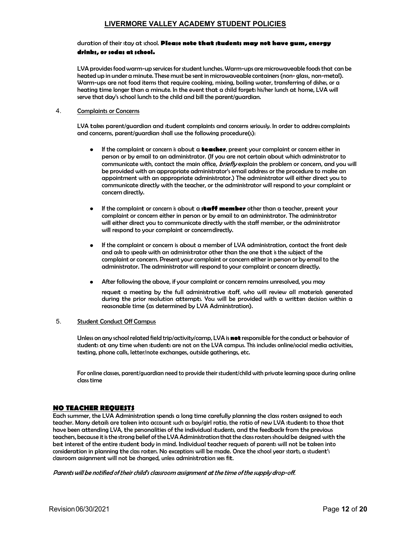# duration of their stay at school. Please note that students may not have gum, energy drinks, or sodas at school.

LVA provides food warm-up services for student lunches. Warm-ups are microwaveable foods that can be heated up in under a minute. These must be sent in microwaveable containers (non- glass, non-metal). Warm-ups are not food items that require cooking, mixing, boiling water, transferring of dishes, or a heating time longer than a minute. In the event that a child forgets his/her lunch at home, LVA will serve that day's school lunch to the child and bill the parent/guardian. LIVERMORE VALLEY ACADEMY STUDENT POLICIES<br>
duration of their stay at xhool. Please note that students may not have gum, energy<br>
drinks, or sodas at sthool.<br>
LVA provides food warm-up services for student lunches. Warm-ups

### 4. Complaints or Concerns

and concerns, parent/guardian shall use the following procedure(s):

- If the complaint or concern is about a teacher, present your complaint or concern either in person or by email to an administrator. (If you are not certain about which administrator to communicate with, contact the main office, briefly explain the problem or concern, and you will be provided with an appropriate administrator's email address or the procedure to make an appointment with an appropriate administrator.) The administrator will either direct you to communicate directly with the teacher, or the administrator will respond to your complaint or concern directly. is in under a minute. These must be sent in microwavelele containes (non-glass, non-metal). So so a more than the substitute of this difference in the origin method. In the origin difference of the origin and minute. In th communicates with, contact the main office, *brefty* exploidin the problem or concern, and you will concerned trip any computed communicate diministrator, 's mail address or the procedure to mole or appointment with an app
	- If the complaint or concern is about a **staff member** other than a teacher, present your complaint or concern either in person or by email to an administrator. The administrator will either direct you to communicate directly with the staff member, or the administrator will respond to your complaint or concerndirectly.
	- If the complaint or concern is about a member of LVA administration, contact the front desk complaint or concern. Present your complaint or concern either in person or by email to the administrator. The administrator will respond to your complaint or concern directly.
	- After following the above, if your complaint or concern remains unresolved, you may

request a meeting by the full administrative staff, who will review all materials generated during the prior resolution attempts. You will be provided with a written decision within a reasonable time (as determined by LVA Administration).

# 5. Student Conduct Off Campus

Unless on any school related field trip/activity/camp, LVA is **not** responsible for the conduct or behavior of<br>students at any time when students are not on the LVA campus. This includes online/social media activities, texting, phone calls, letter/note exchanges, outside gatherings, etc.

For online classes, parent/guardian need to provide their student/child with private learning space during online class time

# NO TEACHER REQUESTS

Each summer, the LVA Administration spends a long time carefully planning the class rosters assigned to each teacher. Many details are taken into account such as boy/girl ratio, the ratio of new LVA students to those that or continue of the total personality of the model in the control of the the interest the wise completion of the interest the interest the interest of the interest of the individual students, and the model of the doministr have been attending LVA, the personalities of the individual students, and the feedback from the previous<br>teachers, because it is the strong belief of the LVA Administration that the class rosters should be designed with t best interest of the entire student body in mind. Individual teacher requests of parents will not be taken into • After following the above, if your complaint or concern remains unresolved, you may<br>request conseited with a which administration is external during the prior residuation attempts. You will be provided with a written d consideration in planning the class rosters. No exceptions will be made. Once the school year starts, a student's<br>classroom assignment will not be changed, unless administration sees fit.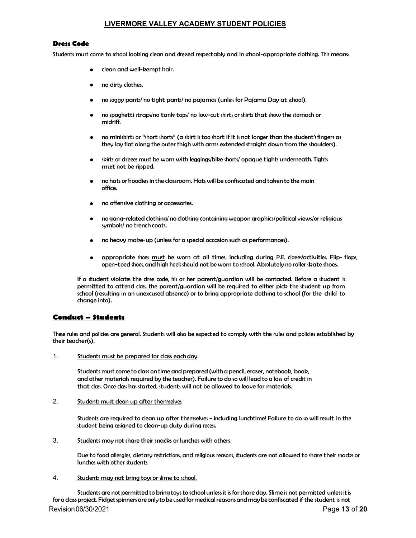# Dress Code

Students must come to school looking clean and dressed respectably and in school-appropriate clothing. This means:

- clean and well-kempt hair.
- no dirty clothes.
- no saggy pants/ no tight pants/ no pajamas (unless for Pajama Day at school).
- no spaghetti straps/no tank tops/ no low-cut shirts or shirts that show the stomach or midriff.
- **LIVERMORE VALLEY ACADEMY STUDENT POLICIES**<br>sto short looking dean and dressed repectably and in shool-appropriate dothing. This means:<br>clean and well-kempt hair.<br>mo siggy pants/ no tight pants/ no pajamas (unles for Pajam they lay flat along the outer thigh with arms extended straight down from the shoulders). **LIVERMORE VALLEY ACADEMY STUDENT POLICIES**<br>sto xhool looking dean and dressed repectably and in xhool-appropriate dothing. This means:<br>clean and well-kempt hair.<br>mo aggy pants/ no tight pants/ no pajamas (unles for Pajama **LIVERMORE VALLEY ACADEMY STUDENT POLICIES**<br>sto xhool looking dean and dessed respectably and in xhool-appropriate dothing. This means:<br>clean and well-kempt hair.<br>mo dirty clothes.<br>no aggy pants in the the parts in polyama
- must not be ripped.
- office.
- no offensive clothing or accessories.
- no gang-related clothing/ no clothing containing weapon graphics/political views/or religious symbols/ no trench coats.
- no heavy make-up (unless for a special occasion such as performances).
- appropriate shoes <u>must</u> be worn at all times, including during P.E. clases/activities. Flip-flops, open-toed shoes, and high heels should not be worn to school. Absolutely no roller skate shoes.

no dirty clothes.<br>
no saggy pants' no tight pants' no pojamas (unles for Pajama Day at shoo).<br>
no spaghetti strap/ino tank top:/ no low-cut shirts or shirts that show the stomach or<br>
minimilifit.<br>
no minimilifit or "short If a student violates the dress code, his or her parent/guardian will be contacted. Before a student is permitted to attend class, the parent/guardian will be required to either pick the student up from school (resulting in an unexcused absence) or to bring appropriate clothing to school (for the child to change into). • sint or dress must be worn with legging/biles shorts/ opeque tights undernacht. Tights<br>
• mo hots or hoodies in the classroom. Hots will be confincated and taken to the main<br>
office.<br>
• no offensive clothing or accessor • no offersive clothing or accessories.<br>• no gang-related otothing (no dothing containing weapon graphic/political view/or religious<br>• symbol/ no trench coots, mat be worn at oil times, including during PE. diselectivities • no heavy make-up (unies for a special occasion such as performances).<br>• oppropriate shoes <u>mult</u> be wom at all time, including during Direction controls open-tood shoes and high heek should not be worn to shool. Abiolute

# Conduct – Students

their teacher(s).

1. Students must be prepared for class each day.

Students must come to class on time and prepared (with a pencil, eraser, notebook, book, that class. Once class has started, students will not be allowed to leave for materials.

2. Students must clean up after themselves.

student being assigned to clean-up duty during recess.

3. Students may not share their snacks or lunches with others.

Due to food allergies, dietary restrictions, and religious reasons, students are not allowed to share their snacks or lunches with other students.

Revision06/30/2021 Page 13 of 20 dominate may not bring to students will also be expected to comply with the rules and policies established by<br>their teacher of bring to students must be prepared for class each day.<br>Students must come to class or time and for a class project. Fidget spinners are only to be used for medical reasons and may be confiscated if the student is not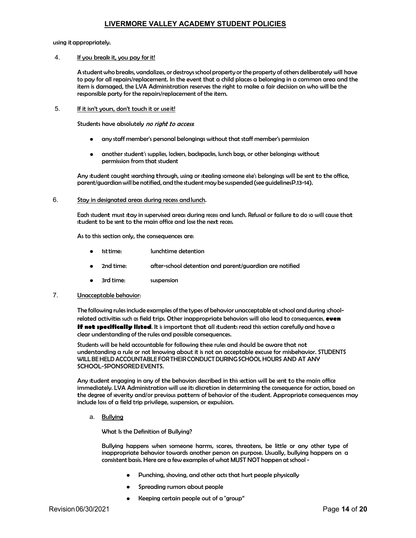4. If you break it, you pay for it!

LIVERMORE VALLEY ACADEMY STUDENT POLICIES<br>using it appropriately.<br>4. If you break it, you pay for it!<br>A student who breaks, vandalizes, or destroys school property or the property of othe<br>to pay for all repairs/replacement A student who breaks, vandalizes, or destroys school property or the property of others deliberately will have to pay for all repairs/replacement. In the event that a child places a belonging in a common area and the item is damaged, the LVA Administration reserves the right to make a fair decision on who will be the responsible party for the repairs/replacement of the item. **LIVERMORE VALLEY ACADEMY STUDENT POLICIES**<br>
Student who breaks, vandalizes, or destroys school property or the property of others deliberately will have<br>
to pay for all repair/sreplacement. In the event that a child place **LIVERMORE VALLEY ACADEMY STUDENT POLICIES**<br>
Artundent chip by any for it!<br>
Artundent chip by any for it!<br>
Artundent chip breaks, condities, or destroy, school property or the property of orther deliberately will have<br>
to

5. If it isn't yours, don't touch it or use it!

- 
- another student's supplies, lockers, backpacks, lunch bags, or other belongings without permission from that student

parent/guardian will be notified, and the student may be suspended (see guidelines P.13-14).

#### 6. Stay in designated areas during recess and lunch.

Each student must stay in supervised areas during recess and lunch. Refusal or failure to do so will cause that student to be sent to the main office and lose the next recess.

As to this section only, the consequences are:

- 1st time: lunchtime detention
- 2nd time: after-school detention and parent/guardian are notified
- 3rd time: suspension

#### 7. Unacceptable behavior:

The following rules include examples of the types of behavior unacceptable at school and during schoolrelated activities such as field trips. Other inappropriate behaviors will also lead to consequences, even if not specifically listed. It is important that all students read this section carefully and have a clear understanding of the rules and possible consequences. Any student caught searching through, using or stealing someone eles's belongings will be sent to the office,<br>parent/guardian will be notified, and the student may be suspended (see guidelines P.13-14).<br>Stay in designated **Each student must step in any of the behavior student engage and lunch. Refusal or folliture to do so will cause that<br>tudent to be sent to the main office and los the neat reces.<br>As to this section only, the consequences** Each student must stop in supervised creas: during recess and lunch. Refusal or failure to do so will cause that<br>that the best set to the main office and lost the matterces.<br>As to this section only, the consequence stress<br>

understanding a rule or not knowing about it is not an acceptable excuse for misbehavior. STUDENTS WILL BE HELD ACCOUNTABLE FOR THEIR CONDUCT DURING SCHOOL HOURS AND AT ANY SCHOOL-SPONSORED EVENTS.

immediately. LVA Administration will use its discretion in determining the consequence for action, based on<br>the degree of severity and/or previous patterns of behavior of the student. Appropriate consequences may include loss of a field trip privilege, suspension, or expulsion.

a. Bullying

What Is the Definition of Bullying?

Bullying happens when someone harms, scares, threatens, be little or any other type of inappropriate behavior towards another person on purpose. Usually, bullying happens on a consistent basis. Here are a few examples of what MUST NOT happen at school -

- Punching, shoving, and other acts that hurt people physically
- Spreading rumors about people  $\bullet$
- Keeping certain people out of a "group"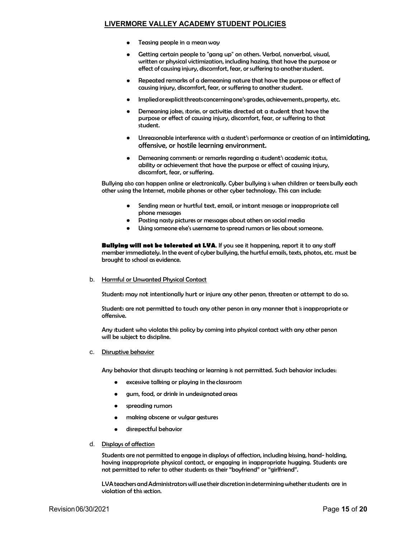- 
- RE VALLEY ACADEMY STUDENT POLICIES<br>Teasing people in a mean way<br>Getting certain people to "gang up" on others. Verbal, nonverbal, visual,<br>written or physical victimization, including hazing, that have the purpose or<br>effect RE VALLEY ACADEMY STUDENT POLICIES<br>Teasing people in a mean way<br>Getting certain people to "gang up" on others. Verbal, nonverbal, visual,<br>written or physical victimization, including hazing, that have the purpose or<br>effect written or physical victimization, including hazing, that have the purpose or effect of causing injury, discomfort, fear, or suffering to another student. RE VALLEY ACADEMY STUDENT POLICIES<br>Teasing people in a mean way<br>Cetting certain people to "gang up" on others. Verbal, nonverbal, visual,<br>written or physical victimization, including hazing, that have the purpose or<br>effect RE VALLEY ACADEMY STUDENT POLICIES<br>Teasing people in a mean way<br>unitation or physical victimization, including hazing, that have the purpose or<br>effect of causing injury, disconnfort, fear, or suffering to another student.<br> RE VALLEY ACADEMY STUDENT POLICIES<br>Teasing people in a mean way<br>unitaten or physical victimization, including hazing, that have the purpose or<br>effect of causing injury, discomfort, fear, or suffering to another student.<br>Re Teasing people in a mean way<br>Cecting certain people to "gong up" on others, Verbal, nonverbal, visual,<br>Certing certain people to "gong up" on others, Verbal, nonverbal, visual,<br>emitted or denancial injury, discomfort, fear
- Repeated remarks of a demeaning nature that have the purpose or effect of causing injury, discomfort, fear, or suffering to another student.
- Implied or explicit threats concerning one's grades, achievements, property, etc.
- purpose or effect of causing injury, discomfort, fear, or suffering to that student.
- offensive, or hostile learning environment.
- discomfort, fear, or suffering.

Bullying also can happen online or electronically. Cyber bullying is when children or teens bully each other using the Internet, mobile phones or other cyber technology. This can include:

- phone messages
- Posting nasty pictures or messages about others on social media
- Using someone else's username to spread rumors or lies about someone.

**Bullying will not be tolerated at LVA.** If you see it happening, report it to any staff member immediately. In the event of cyber bullying, the hurtful emails, texts, photos, etc. must be brought to school as evidence.

b. Harmful or Unwanted Physical Contact

Students may not intentionally hurt or injure any other person, threaten or attempt to do so.

Students are not permitted to touch any other person in any manner that is inappropriate or offensive.

Any student who violates this policy by coming into physical contact with any other person will be subject to discipline.

c. Disruptive behavior

Any behavior that disrupts teaching or learning is not permitted. Such behavior includes:

- excessive talking or playing in the classroom
- gum, food, or drink in undesignated areas
- spreading rumors
- making obscene or vulgar gestures
- disrespectful behavior
- d. Displays of affection

Students are not permitted to engage in displays of affection, including kissing, hand- holding, having inappropriate physical contact, or engaging in inappropriate hugging. Students are not permitted to refer to other students as their "boyfriend" or "girlfriend". Students are not permitted to touch any other person in any manner that is inappropriate or<br>My student who violotes this policy by coming into physical contact with any other person<br>will be subject to discipline.<br>Disruptiv

violation of this section.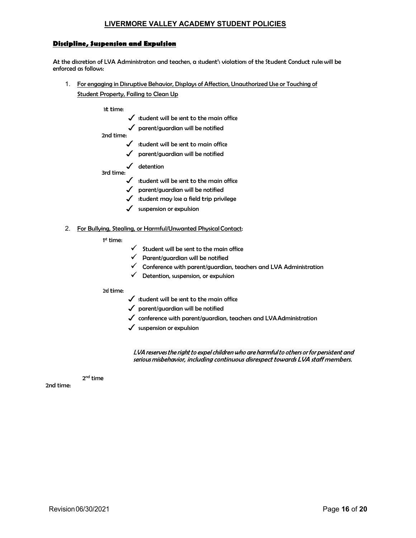# Discipline, Suspension and Expulsion

**Discipline, Suspension and Expulsion**<br>At the discretion of LVA Administrators and teachers, a student's violations of the Student Conduct rules will be<br>enforced as follows:<br>1. For engaging in Disruptive Behavior, Displays enforced as follows: **LIVERMORE VALLEY ACADEMY STUDENT POLICIES**<br> **Sighline, Surgension and Expulsion**<br>
end disretion of LVA Administrators and teachers, a student's violations of the Student Conduct rules will be<br>
1. For engaging in Disruptiv RE VALLEY ACADEMY STUDENT POLICIES<br> **d Expulsion**<br>trators and teachers, a student's violations of the Student Conduct ruleswill be<br>
<u>ive Behavior, Displays of Affection, Unauthorized Use or Touching of<br>
student will be sen</u> RE VALLEY ACADEMY STUDENT POLICIES<br> **Expulsion**<br>
trator and teacher, a student's violations of the Student Conduct rule will be<br>
ive Behavior, Displays of Affection, Unauthorized Use or Touching of<br>
mg to Clean Up<br>
student RE VALLEY ACADEMY STUDENT POLICIES<br> **Expulsion**<br>
trator and teacher, a student's violation of the Student Conduct rule will be<br>
ive Behavior, Displays of Affection, Unauthorized Use or Touching of<br>
student will be sent to

Student Property, Failing to Clean Up

#### 1st time:

- $\checkmark$  student will be sent to the main office
	-
- 2nd time:
	-
	- $\checkmark$  parent/guardian will be notified
- $\checkmark$  detention 3rd time:
	-
	- $\checkmark$  parent/guardian will be notified
	- $\checkmark$  student may lose a field trip privilege
	- $\checkmark$  suspension or expulsion

### 2. For Bullying, Stealing, or Harmful/Unwanted Physical Contact:

#### 1st time:

- $\checkmark$  Student will be sent to the main office
- $\checkmark$  Parent/guardian will be notified
- $\checkmark$  Conference with parent/guardian, teachers and LVA Administration
- $\checkmark$  Detention, suspension, or expulsion

# 2nd time:

- $\checkmark$  student will be sent to the main office
- $\sqrt{\ }$  parent/guardian will be notified
- $\checkmark$  conference with parent/guardian, teachers and LVA Administration
- $\checkmark$  suspension or expulsion

LVA reserves the right to expel children who are harmful to others or for persistent and serious misbehavior, including continuous disrespect towards LVA staff members.

2nd time

2nd time: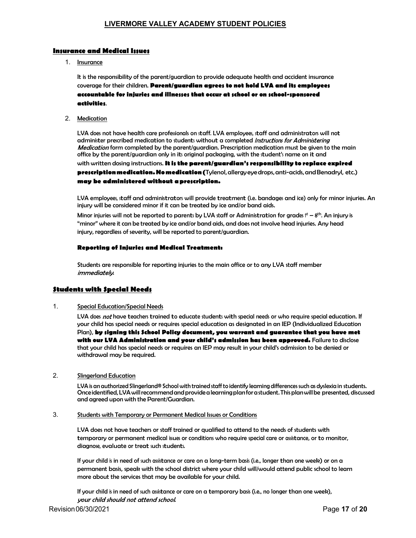# Insurance and Medical Issues

1. Insurance

<u>LIVERMORE VALLEY ACADEMY STUDENT POLICIES</u><br>Insurance<br>Insurance<br>It is the responsibility of the parent/guardian to provide adequate health and accident insurance<br>coverage for their children. **Parent/guardian agrees to not** coverage for their children. Parent/guardian agrees to not hold LVA and its employees accountable for injuries and illnesses that occur at school or on school-sponsored activities.

2. Medication

LIVERMORE VALLEY ACADEMY STUDENT POLICIES<br>
Insurance<br>
Insurance<br>
It is the responsibility of the parent/guardian to provide adequate health and accident insurance<br>
it is the responsibility of the parent/g**uardian agrees to** LVA does not have health care professionals on staff. LVA employees, staff and administrators will not administering<br>administer prescribed medication to students without a completed *Instructions for Administering* Medication form completed by the parent/guardian. Prescription medication must be given to the main **LIVERMORE VALLEY ACADEMY STUDENT POLICIES**<br> **See and Medical Issues:**<br>
Insurance<br>
It is the responsibility of the parent/guardian to provide adequate health and accident insurance<br>
cecounteble for injuries and illnesses t with written dosing instructions. It is the parent/guardian's responsibility to replace expired prescription medication. No medication (Tylenol, allergy eye drops, anti-acids, and Benadryl, etc.) may be administered without a prescription. LIVERMORE VALLEY ACADEMY STUDENT POLICIES<br>
Insurance<br>
Insurance<br>
It is the responsibility of the parent/guardran to provide adequate health and accident insurance<br>
the tree responsibility of the parent/guardran agrees to n **Example 18 Medical listes:**<br>
Insurance<br>
Interactions<br>
It is the responsibility of the parent/guardian to provide adequate health and accident insurance<br>
coverage for this children. **Parent/guardian speech to a heale LVA a** ance<br>**ees**<br>will not<br>i*ng*<br>to the main<br>de **expired**<br>enadryl, etc.)<br>for minor injuries. An<br>. An injury is<br>. An injury is<br>my head dominiter precribed medication to students without a completed *insturtion* for Administering<br>Medication for mompleted by the parent/quardian, precription medication mut be given to the main<br>office by the parent/guardian o

injury will be considered minor if it can be treated by ice and/or band aids.

Minor injuries will not be reported to parents by LVA staff or Administration for grades  $f<sup>t</sup> - 8<sup>th</sup>$ . An injury is "minor" where it can be treated by ice and/or band aids, and does not involve head injuries. Any head injury, regardless of severity, will be reported to parent/guardian.

#### Reporting of Injuries and Medical Treatment:

Students are responsible for reporting injuries to the main office or to any LVA staff member *immediately.* 

# Students with Special Needs

1. Special Education/Special Needs

your child has special needs or requires special education as designated in an IEP (Individualized Education Plan), by signing this School Policy document, you warrant and guarantee that you have met with our LVA Administration and your child's admission has been approved. Failure to disclose that your child has special needs or requires an IEP may result in your child's admission to be denied or withdrawal may be required. Students are responsible for reporting injuries to the main office or to any LVA staff member<br>
firmredictely.<br> **Special Education:**<br>
Special Education:<br>
Special is divariant Needial Needs<br>
U.V.A does not hove teaches train **shouted is a speed or treat such students.** The speed of the speed of the speed of the control of does not than of the such students trianded to evaluate such a long-term child the speed need or treat such assistance of t LVA does not have technes trained to educate students with special excepts or choic regulies pecial continues in the child of such assignments, your child has special need or who requires special education of designated in

2. Slingerland Education

LVA is an authorized Slingerland® School with trained staff to identify learning differences such as dyslexia in students. Once identified, LVA will recommend and provide a learning plan for a student. This plan will be presented, discussed and agreed upon with the Parent/Guardian.

3. Students with Temporary or Permanent Medical Issues or Conditions

LVA does not have teachers or staff trained or qualified to attend to the needs of students with

permanent basis, speak with the school district where your child will/would attend public school to learn more about the services that may be available for your child.

your child should not attend school.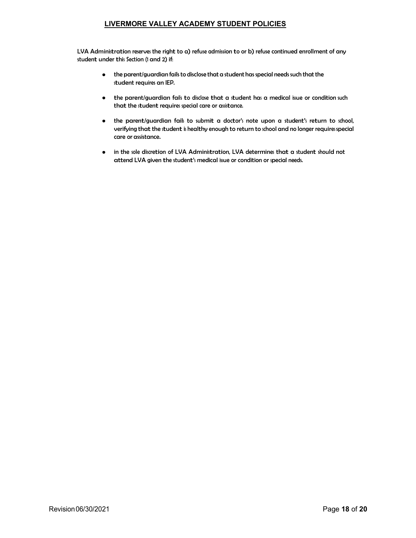LVA Administration reserves the right to a) refuse admission to or b) refuse continued enrollment of any student under this Section (1 and 2) if:

- the parent/guardian fails to disclose that a student has special needs such that the student requires an IEP.
- that the student requires special care or assistance.
- **TERMORE VALLEY ACADEMY STUDENT POLICIES**<br>tration reserves the right to a) refuse admission to or b) refuse continued enrollment of any<br>this Section (1 and 2) if:<br>the parent/guardian fails to disclose that a student has sp The parent of the parent of the parent of the parent of the parent of the parent of the parent of the parent of the parent of the parent of the parent of the parent of the parent of the parent of the parent of the parent o **ERMORE VALLEY ACADEMY STUDENT POLICIES**<br>ration rearves the right to a) refuse admission to or b) refuse continued enrollment of any<br>this Section (1 and 2) if:<br>the parent/guardian fails to disclose that a student has speci  $\bullet$ care or assistance.
- in the sole discretion of LVA Administration, LVA determines that a student should not  $\bullet$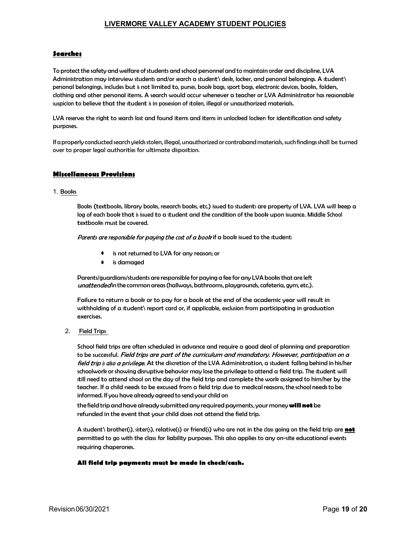# **Searches**

LIVERMORE VALLEY ACADEMY STUDENT POLICIES<br>3earches<br>To protect the safety and welfare of students and school personnel and to maintain order and discipline, LVA<br>Administration may interview students and/or search a student' **EIVERMORE VALLEY ACADEMY STUDENT POLICIES**<br> **Searches**<br>
To protect the sofety and welfare of students and school personnel and to maintain order and discipline, LVA<br>
Administration may interview students and/or search a s personal belongings, includes but is not limited to, purses, book bags, sport bags, electronic devices, books, folders, clothing and other personal items. A search would occur whenever a teacher or LVA Administrator has reasonable **Searches**<br> **Searches**<br> **Searches**<br>
To protect the safety and welfare of students and school personnel and to maintain order and discipline, LVA<br>
Administration may interview students and/or search a student's desk, locker **Searches**<br> **Searches**<br>
To protect the safety and welfare of students and school personnel and to maintain order and discipline, LVA<br>
Administration may interview students and/or search a student's desk, locker, and person **INTERMORE VALLEY ACADEMY STUDENT POLICIES**<br> **Searches**<br>
To probact the scriety and welfare of students and school personnel and to maintain norder and discipline, LVA<br>
Administration may interview student and/or search a **EIVERMORE VALLEY ACADEMY STUDENT POLICIES**<br> **Searches**<br>
To protect the safety and welfare of students and school personnel and to maintain order and discipline, LVA<br>
Administration may interview students and/or search a s **log of the strict word welfare of students and school personnel and to maintain order and discipline. LVA<br>cation may interview students and/or search a student a sky, locker, and personal belonging, a futurent's<br>belonging Example 19 If**<br> **Example 19 If the safety and welfare of students and school personnel and to maintain order and discipline, LVA<br>
catation may interview students and/or search a student's desk, locker, and personal belong** 

purposes.

#### 1. Books

Books (textbooks, library books, research books, etc.) issued to students are property of LVA. LVA will keep a is do warch lost and found items and items in unlocked locken for identification and safety<br>is earch yields stolen, illegal, unauthorized or contraband materials, such findings shall be turned<br>uthorities for ultimate dispo rly conducted search yields stolen, illegal, unauthorized or contraband materials, such findings shall be turned<br>roper legal authorities for ultimate disposition.<br>Books (textbooks, library books, research books, etc.) sued

Parents are responsible for paying the cost of a book if a book issued to the student:

- is not returned to LVA for any reason; or
- is damaged

Parents/guardians/students are responsible for paying a fee for any LVA books that are left

Failure to return a book or to pay for a book at the end of the academic year will result in exercises.

**Example 18 and the United States of the United States and the conditions**<br>
2. Field Trips<br>
2. Field Trips<br>
2. Field Trips<br>
2. Field Trips<br>
2. Field Trips<br>
2. Field Trips<br>
2. Field Trips<br>
2. Field Trips<br>
2. Field Trips<br>
2 School field trips are often scheduled in advance and require a good deal of planning and preparation to be successful. Field trips are part of the curriculum and mandatory. However, participation on a field trip is also a privilege. At the discretion of the LVA Administration, a student falling behind in his/her schoolwork or showing disruptive behavior may lose the privilege to attend a field trip. The student will Book (textbook, library books, reearch books, etc.) liued to students are property of LVA. LVA will keep a<br>color dook that is issued to a student and the condition of the book upon issuence. Middle School<br>etcators here to teacher. If a child needs to be excused from a field trip due to medical reasons, the school needs to be informed. If you have already agreed to send your child on

the field trip and have already submitted any required payments, your money will not be refunded in the event that your child does not attend the field trip.

A student's brother(s), sister(s), relative(s) or friend(s) who are not in the class going on the field trip are **not** permitted to go with the class for liability purposes. This also applies to any on-site educational events requiring chaperones.

# All field trip payments must be made in check/cash.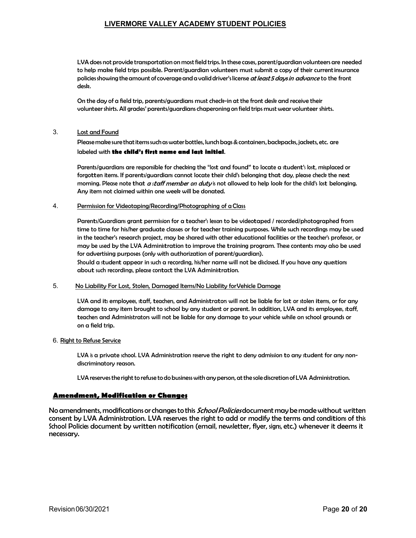LVA does not provide transportation on most field trips. In these cases, parent/guardian volunteers are needed to help make field trips possible. Parent/guardian volunteers must submit a copy of their current insurance policies showing the amount of coverage and a valid driver's license at least 5 days in advance to the front desk. **LIVERMORE VALLEY ACADEMY STUDENT POLICIES**<br>
1. UVA does not provide transportation on most field trips. In these cases, parent/guardian volunte<br>
to help make field trips possible. Parent/guardian volunteers must submit a **LIVERMORE VALLEY ACADEMY STUDENT POLICIES**<br>
LUA does not provide transportation on most field trips. In these case, parent/guardian volunteers are needed<br>
to help make field trips possible. Parent/guardian volunteers must **LIVERMORE VALLEY ACADEMY STUDENT POLICIES**<br>LVA does not provide transportation om most field trips. In these case, parent guardian volunteers are needed<br>to help make field trips posible. Parent/guardian volunteers must su

On the day of a field trip, parents/guardians must check-in at the front desk and receive their volunteer shirts. All grades' parents/guardians chaperoning on field trips must wear volunteer shirts.

labeled with **the child's first name and last initial.**<br>Parents/guardians are responsible for checking the "lost and found" to locate a student's lost, misplaced or morning. Please note that  $a$  staff member on duty is not allowed to help look for the child's lost belonging. Any item not claimed within one week will be donated.

# 4. Permission for Videotaping/Recording/Photographing of a Class

Parents/Guardians grant permission for a teacher's lesson to be videotaped / recorded/photographed from time to time for his/her graduate classes or for teacher training purposes. While such recordings may be used in the teacher's research project, may be shared with other educational facilities or the teacher's professor, or may be used by the LVA Administration to improve the training program. These contents may also be used for advertising purposes (only with authorization of parent/guardian). Ensurance in the matter of the control of the control of the right to deny advantage school. Using the control of the right of a Deny form and the right term into the right to dented.<br>Any item not claimed within one week w

Should a student appear in such a recording, his/her name will not be disclosed. If you have any questions about such recordings, please contact the LVA Administration.

# 5. No Liability For Lost, Stolen, Damaged Items/No Liability for Vehicle Damage

LVA and its employees, staff, teachers, and Administrators will not be liable for lost or stolen items, or for any damage to any item brought to school by any student or parent. In addition, LVA and its employees, staff, teachers and Administrators will not be liable for any damage to your vehicle while on school grounds or on a field trip.

# 6. Right to Refuse Service

discriminatory reason.

LVA reserves the right to refuse to do business with any person, at the sole discretion of LVA Administration.

# Amendment, Modification or Changes

No amendments, modifications or changes to this *School Policies* document may be made without written consent by LVA Administration. LVA reserves the right to add or modify the terms and conditions of this School a trace of the school policies document by written notification (email, newsletter, flyer, signs, etc.) whenever it deems it with a<br>choice of the school and a trace of the trace of the school and a school and a disc necessary.